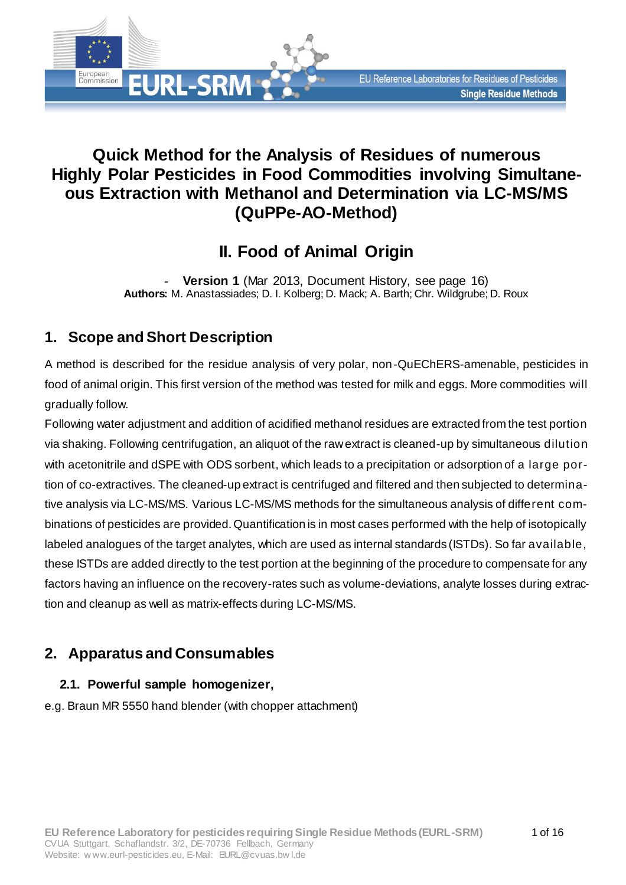# **Quick Method for the Analysis of Residues of numerous Highly Polar Pesticides in Food Commodities involving Simultaneous Extraction with Methanol and Determination via LC-MS/MS (QuPPe-AO-Method)**

# **II. Food of Animal Origin**

**Version 1** (Mar 2013, [Document History,](#page-15-0) see page [16\)](#page-15-1) **Authors:** M. Anastassiades; D. I. Kolberg; D. Mack; A. Barth; Chr. Wildgrube; D. Roux

# **1. Scope and Short Description**

**EURL-SRM** 

European<br>Commission

A method is described for the residue analysis of very polar, non-QuEChERS-amenable, pesticides in food of animal origin. This first version of the method was tested for milk and eggs. More commodities will gradually follow.

Following water adjustment and addition of acidified methanol residues are extracted from the test portion via shaking. Following centrifugation, an aliquot of the raw extract is cleaned-up by simultaneous dilution with acetonitrile and dSPE with ODS sorbent, which leads to a precipitation or adsorption of a large portion of co-extractives. The cleaned-up extract is centrifuged and filtered and then subjected to determinative analysis via LC-MS/MS. Various LC-MS/MS methods for the simultaneous analysis of different combinations of pesticides are provided. Quantification is in most cases performed with the help of isotopically labeled analogues of the target analytes, which are used as internal standards (ISTDs). So far available, these ISTDs are added directly to the test portion at the beginning of the procedure to compensate for any factors having an influence on the recovery-rates such as volume-deviations, analyte losses during extraction and cleanup as well as matrix-effects during LC-MS/MS.

# **2. Apparatus and Consumables**

# <span id="page-0-0"></span>**2.1. Powerful sample homogenizer,**

e.g. Braun MR 5550 hand blender (with chopper attachment)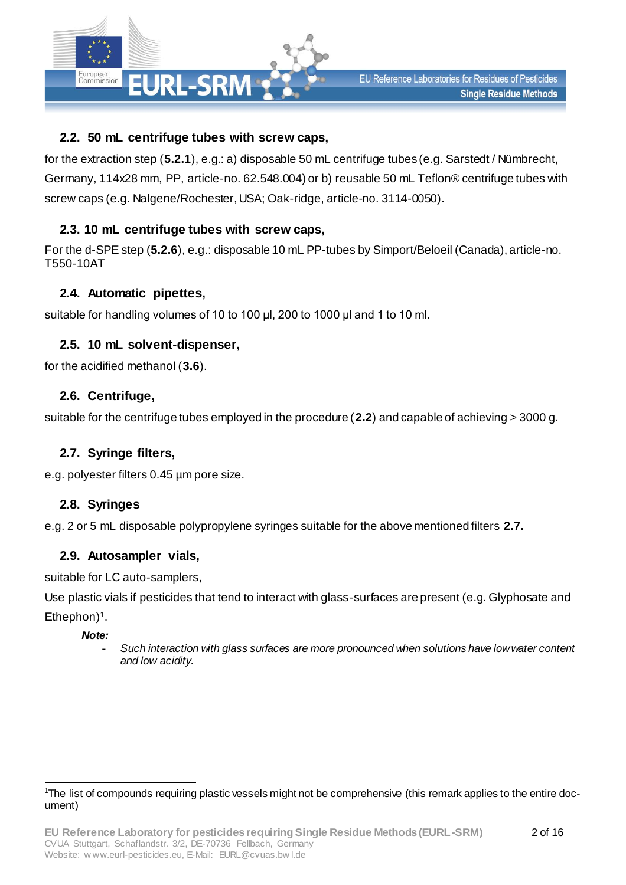

## <span id="page-1-0"></span>**2.2. 50 mL centrifuge tubes with screw caps,**

for the extraction step (**[5.2.1](#page-4-0)**), e.g.: a) disposable 50 mL centrifuge tubes (e.g. Sarstedt / Nümbrecht, Germany, 114x28 mm, PP, article-no. 62.548.004) or b) reusable 50 mL Teflon® centrifuge tubes with screw caps (e.g. Nalgene/Rochester, USA; Oak-ridge, article-no. 3114-0050).

## <span id="page-1-2"></span>**2.3. 10 mL centrifuge tubes with screw caps,**

For the d-SPE step (**[5.2.6](#page-4-1)**), e.g.: disposable 10 mL PP-tubes by Simport/Beloeil (Canada), article-no. T550-10AT

#### **2.4. Automatic pipettes,**

suitable for handling volumes of 10 to 100 μl, 200 to 1000 μl and 1 to 10 ml.

## **2.5. 10 mL solvent-dispenser,**

for the acidified methanol (**[3.6](#page-2-0)**).

## **2.6. Centrifuge,**

suitable for the centrifuge tubes employed in the procedure (**[2.2](#page-1-0)**) and capable of achieving > 3000 g.

#### <span id="page-1-1"></span>**2.7. Syringe filters,**

e.g. polyester filters 0.45 µm pore size.

## **2.8. Syringes**

e.g. 2 or 5 mL disposable polypropylene syringes suitable for the above mentioned filters **[2.7](#page-1-1).**

#### <span id="page-1-3"></span>**2.9. Autosampler vials,**

suitable for LC auto-samplers,

Use plastic vials if pesticides that tend to interact with glass-surfaces are present (e.g. Glyphosate and Ethephon)<sup>1</sup>.

#### *Note:*

- *Such interaction with glass surfaces are more pronounced when solutions have low water content and low acidity.*

l 1The list of compounds requiring plastic vessels might not be comprehensive (this remark applies to the entire document)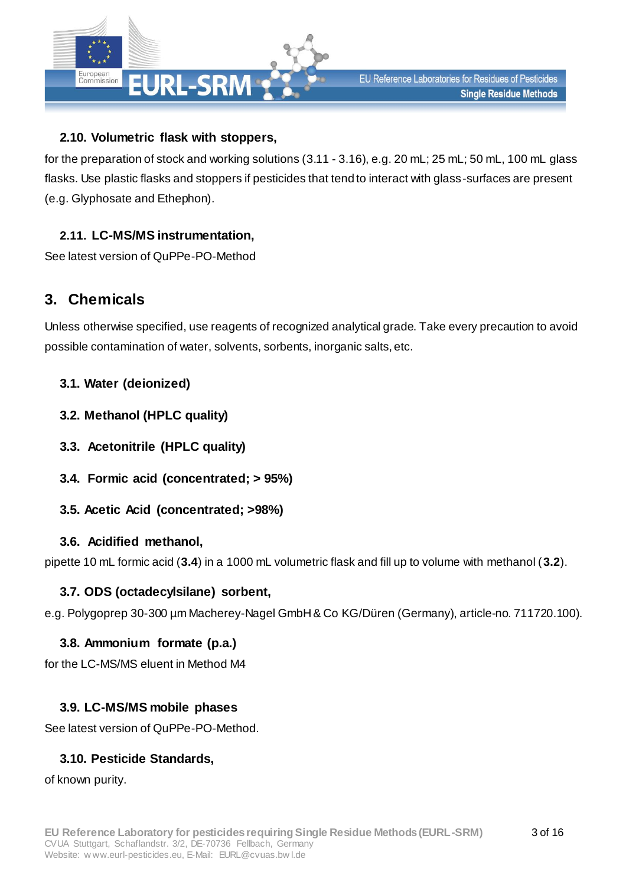

# **2.10. Volumetric flask with stoppers,**

for the preparation of stock and working solutions [\(3.11](#page-3-0) - [3.16](#page-3-1)), e.g. 20 mL; 25 mL; 50 mL, 100 mL glass flasks. Use plastic flasks and stoppers if pesticides that tend to interact with glass-surfaces are present (e.g. Glyphosate and Ethephon).

## **2.11. LC-MS/MS instrumentation,**

See latest version of QuPPe-PO-Method

# **3. Chemicals**

Unless otherwise specified, use reagents of recognized analytical grade. Take every precaution to avoid possible contamination of water, solvents, sorbents, inorganic salts, etc.

## <span id="page-2-3"></span>**3.1. Water (deionized)**

- <span id="page-2-2"></span>**3.2. Methanol (HPLC quality)**
- <span id="page-2-4"></span>**3.3. Acetonitrile (HPLC quality)**
- <span id="page-2-1"></span>**3.4. Formic acid (concentrated; > 95%)**
- **3.5. Acetic Acid (concentrated; >98%)**

## <span id="page-2-0"></span>**3.6. Acidified methanol,**

<span id="page-2-5"></span>pipette 10 mL formic acid (**[3.4](#page-2-1)**) in a 1000 mL volumetric flask and fill up to volume with methanol (**[3.2](#page-2-2)**).

## **3.7. ODS (octadecylsilane) sorbent,**

e.g. Polygoprep 30-300 µm Macherey-Nagel GmbH & Co KG/Düren (Germany), article-no. 711720.100).

## **3.8. Ammonium formate (p.a.)**

for the LC-MS/MS eluent in Method M4

# **3.9. LC-MS/MS mobile phases**

See latest version of QuPPe-PO-Method.

## **3.10. Pesticide Standards,**

of known purity.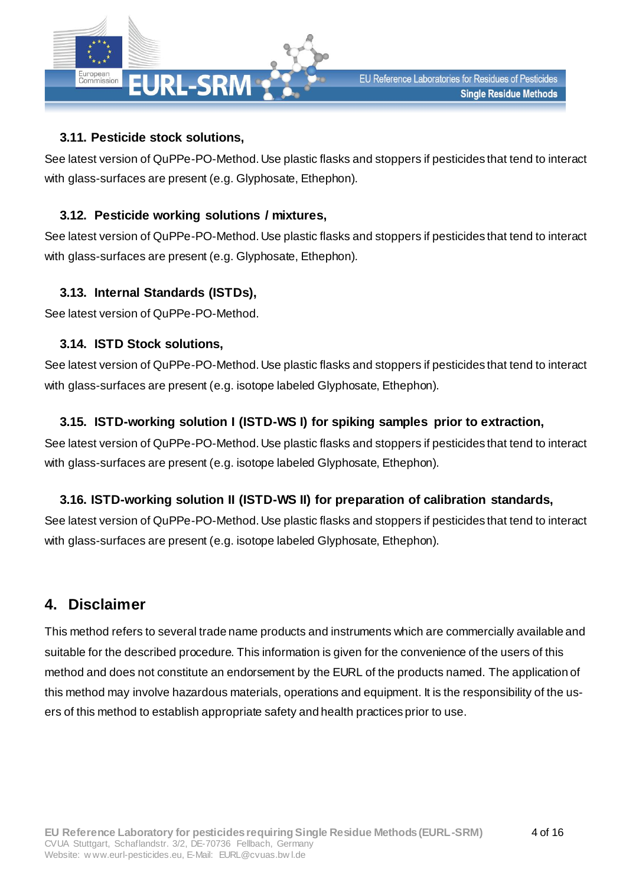

## <span id="page-3-0"></span>**3.11. Pesticide stock solutions,**

See latest version of QuPPe-PO-Method. Use plastic flasks and stoppers if pesticides that tend to interact with glass-surfaces are present (e.g. Glyphosate, Ethephon).

## <span id="page-3-3"></span>**3.12. Pesticide working solutions / mixtures,**

See latest version of QuPPe-PO-Method. Use plastic flasks and stoppers if pesticides that tend to interact with glass-surfaces are present (e.g. Glyphosate, Ethephon).

## **3.13. Internal Standards (ISTDs),**

See latest version of QuPPe-PO-Method.

## **3.14. ISTD Stock solutions,**

See latest version of QuPPe-PO-Method. Use plastic flasks and stoppers if pesticides that tend to interact with glass-surfaces are present (e.g. isotope labeled Glyphosate, Ethephon).

## <span id="page-3-2"></span>**3.15. ISTD-working solution I (ISTD-WS I) for spiking samples prior to extraction,**

See latest version of QuPPe-PO-Method. Use plastic flasks and stoppers if pesticides that tend to interact with glass-surfaces are present (e.g. isotope labeled Glyphosate, Ethephon).

# <span id="page-3-1"></span>**3.16. ISTD-working solution II (ISTD-WS II) for preparation of calibration standards,**

See latest version of QuPPe-PO-Method. Use plastic flasks and stoppers if pesticides that tend to interact with glass-surfaces are present (e.g. isotope labeled Glyphosate, Ethephon).

# **4. Disclaimer**

This method refers to several trade name products and instruments which are commercially available and suitable for the described procedure. This information is given for the convenience of the users of this method and does not constitute an endorsement by the EURL of the products named. The application of this method may involve hazardous materials, operations and equipment. It is the responsibility of the users of this method to establish appropriate safety and health practices prior to use.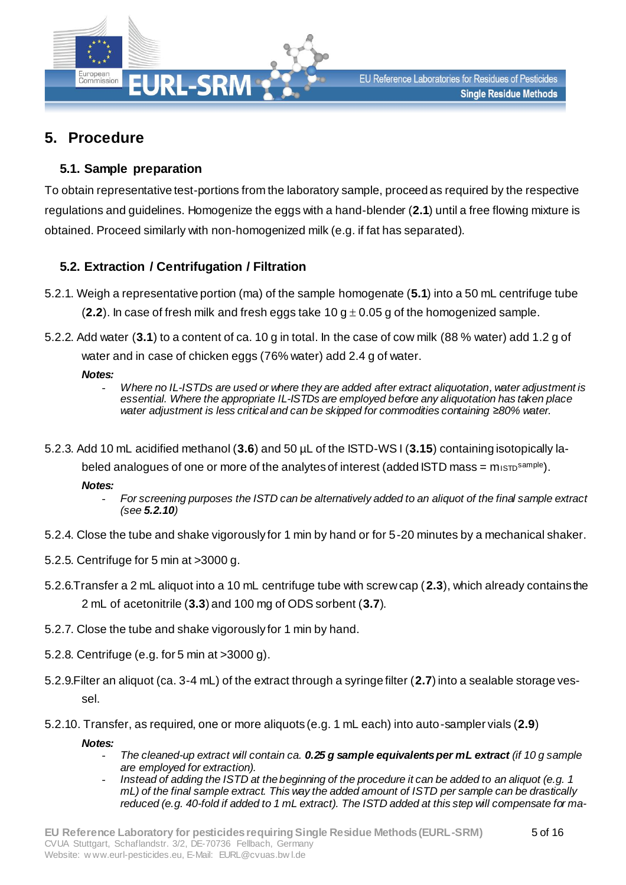

# **5. Procedure**

## <span id="page-4-2"></span>**5.1. Sample preparation**

To obtain representative test-portions from the laboratory sample, proceed as required by the respective regulations and guidelines. Homogenize the eggs with a hand-blender (**[2.1](#page-0-0)**) until a free flowing mixture is obtained. Proceed similarly with non-homogenized milk (e.g. if fat has separated).

## <span id="page-4-5"></span><span id="page-4-0"></span>**5.2. Extraction / Centrifugation / Filtration**

- 5.2.1. Weigh a representative portion (ma) of the sample homogenate (**[5.1](#page-4-2)**) into a 50 mL centrifuge tube  $(2.2)$  $(2.2)$  $(2.2)$ . In case of fresh milk and fresh eggs take 10 g  $\pm$  0.05 g of the homogenized sample.
- <span id="page-4-6"></span>5.2.2. Add water (**[3.1](#page-2-3)**) to a content of ca. 10 g in total. In the case of cow milk (88 % water) add 1.2 g of water and in case of chicken eggs (76% water) add 2.4 g of water.

#### *Notes:*

- *Where no IL-ISTDs are used or where they are added after extract aliquotation, water adjustment is essential. Where the appropriate IL-ISTDs are employed before any aliquotation has taken place water adjustment is less critical and can be skipped for commodities containing ≥80% water.*
- <span id="page-4-4"></span>5.2.3. Add 10 mL acidified methanol (**[3.6](#page-2-0)**) and 50 µL of the ISTD-WS I (**[3.15](#page-3-2)**) containing isotopically la
	- beled analogues of one or more of the analytes of interest (added  $\text{ISTD}$  mass = misto<sup>sample</sup>).

*Notes:*

- *For screening purposes the ISTD can be alternatively added to an aliquot of the final sample extract (see [5.2.10](#page-4-3))*
- 5.2.4. Close the tube and shake vigorously for 1 min by hand or for 5-20 minutes by a mechanical shaker.
- 5.2.5. Centrifuge for 5 min at >3000 g.
- <span id="page-4-1"></span>5.2.6.Transfer a 2 mL aliquot into a 10 mL centrifuge tube with screw cap (**[2.3](#page-1-2)**), which already contains the 2 mL of acetonitrile (**[3.3](#page-2-4)**) and 100 mg of ODS sorbent (**[3.7](#page-2-5)**).
- 5.2.7. Close the tube and shake vigorously for 1 min by hand.
- 5.2.8. Centrifuge (e.g. for 5 min at >3000 g).
- 5.2.9.Filter an aliquot (ca. 3-4 mL) of the extract through a syringe filter (**[2.7](#page-1-1)**) into a sealable storage vessel.
- 5.2.10. Transfer, as required, one or more aliquots (e.g. 1 mL each) into auto-sampler vials (**[2.9](#page-1-3)**)

<span id="page-4-3"></span>*Notes:*

- *The cleaned-up extract will contain ca. 0.25 g sample equivalents per mL extract (if 10 g sample are employed for extraction).*
- *Instead of adding the ISTD at the beginning of the procedure it can be added to an aliquot (e.g. 1 mL) of the final sample extract. This way the added amount of ISTD per sample can be drastically reduced (e.g. 40-fold if added to 1 mL extract). The ISTD added at this step will compensate for ma-*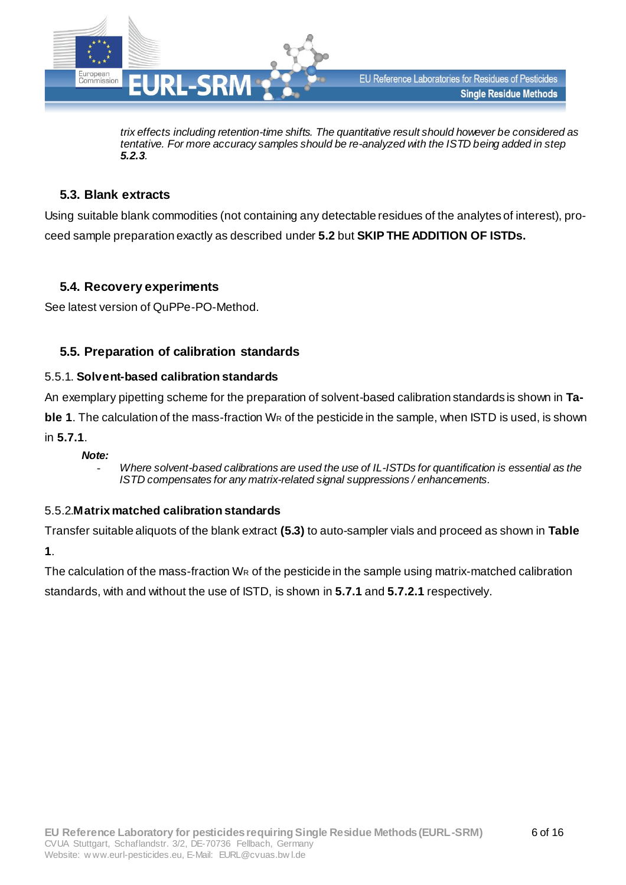

*trix effects including retention-time shifts. The quantitative result should however be considered as tentative. For more accuracy samples should be re-analyzed with the ISTD being added in step [5.2.3](#page-4-4).* 

#### <span id="page-5-0"></span>**5.3. Blank extracts**

Using suitable blank commodities (not containing any detectable residues of the analytes of interest), proceed sample preparation exactly as described under **[5.2](#page-4-5)** but **SKIP THE ADDITION OF ISTDs.**

#### **5.4. Recovery experiments**

See latest version of QuPPe-PO-Method.

#### <span id="page-5-3"></span>**5.5. Preparation of calibration standards**

#### <span id="page-5-1"></span>5.5.1. **Solvent-based calibration standards**

An exemplary pipetting scheme for the preparation of solvent-based calibration standards is shown in **[Ta](#page-6-0)[ble 1](#page-6-0)**. The calculation of the mass-fraction W<sub>R</sub> of the pesticide in the sample, when ISTD is used, is shown in **[5.7.1](#page-11-0)**.

#### *Note:*

- *Where solvent-based calibrations are used the use of IL-ISTDs for quantification is essential as the ISTD compensates for any matrix-related signal suppressions / enhancements.*

#### <span id="page-5-2"></span>5.5.2.**Matrix matched calibration standards**

Transfer suitable aliquots of the blank extract **[\(5.3\)](#page-5-0)** to auto-sampler vials and proceed as shown in **[Table](#page-6-0)  [1](#page-6-0)**.

The calculation of the mass-fraction W<sub>R</sub> of the pesticide in the sample using matrix-matched calibration standards, with and without the use of ISTD, is shown in **[5.7.1](#page-11-0)** and **[5.7.2.1](#page-11-1)** respectively.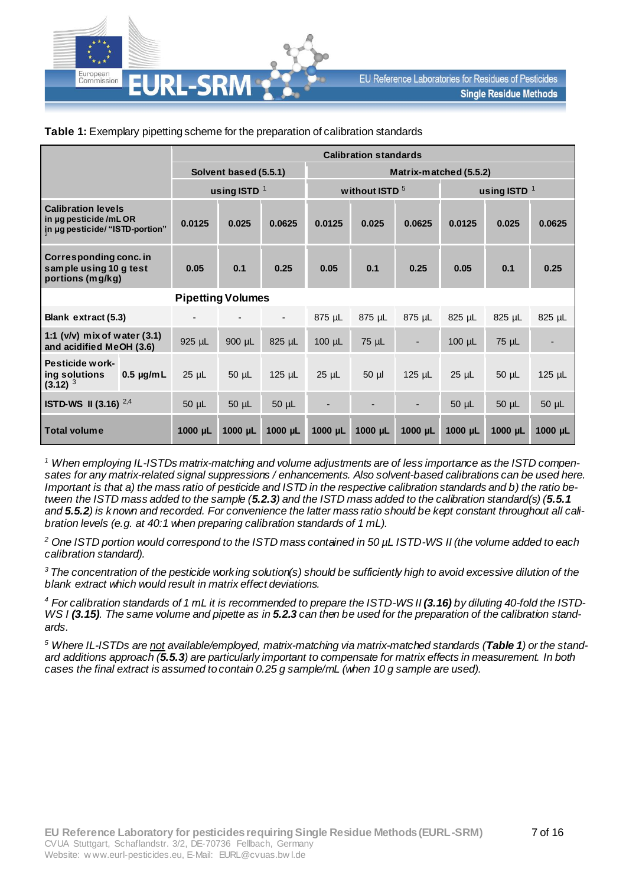

|                                                                                      |                          | <b>Calibration standards</b> |              |                  |                        |              |                |              |                |              |  |
|--------------------------------------------------------------------------------------|--------------------------|------------------------------|--------------|------------------|------------------------|--------------|----------------|--------------|----------------|--------------|--|
|                                                                                      |                          | Solvent based (5.5.1)        |              |                  | Matrix-matched (5.5.2) |              |                |              |                |              |  |
|                                                                                      | using ISTD $1$           |                              |              | without ISTD $5$ |                        |              | using ISTD $1$ |              |                |              |  |
| <b>Calibration levels</b><br>in ug pesticide/mLOR<br>in µg pesticide/ "ISTD-portion" |                          | 0.0125                       | 0.025        | 0.0625           | 0.0125                 | 0.025        | 0.0625         | 0.0125       | 0.025          | 0.0625       |  |
| Corresponding conc. in<br>sample using 10 g test<br>portions (mg/kg)                 |                          | 0.05                         | 0.1          | 0.25             | 0.05                   | 0.1          | 0.25           | 0.05         | 0.1            | 0.25         |  |
|                                                                                      | <b>Pipetting Volumes</b> |                              |              |                  |                        |              |                |              |                |              |  |
| Blank extract (5.3)                                                                  |                          |                              |              |                  | 875 µL                 | 875 µL       | 875 µL         | 825 µL       | 825 µL         | 825 µL       |  |
| 1:1 (v/v) mix of water (3.1)<br>and acidified MeOH (3.6)                             |                          | 925 µL                       | 900 µL       | 825 µL           | $100 \mu L$            | 75 µL        |                | $100 \mu L$  | 75 µL          |              |  |
| Pesticide work-<br>ing solutions<br>$(3.12)^3$                                       | $0.5 \mu g/mL$           | $25$ $\mu$ L                 | $50 \mu L$   | $125$ µL         | $25 \mu L$             | $50 \mu$     | $125$ µL       | $25$ $\mu$ L | $50 \mu L$     | $125$ µL     |  |
| <b>ISTD-WS II (3.16)</b> $^{2,4}$                                                    |                          | $50 \mu L$                   | $50 \mu L$   | $50 \mu L$       | ٠                      |              |                | $50 \mu L$   | $50 \mu L$     | $50 \mu L$   |  |
| Total volume                                                                         |                          | $1000 \mu L$                 | $1000 \mu L$ | $1000 \mu L$     | $1000$ $\mu$ L         | $1000 \mu L$ | $1000 \mu L$   | $1000 \mu L$ | $1000$ $\mu$ L | $1000 \mu L$ |  |

#### <span id="page-6-0"></span>**Table 1:** Exemplary pipetting scheme for the preparation of calibration standards

*<sup>1</sup> When employing IL-ISTDs matrix-matching and volume adjustments are of less importance as the ISTD compensates for any matrix-related signal suppressions / enhancements. Also solvent-based calibrations can be used here. Important is that a) the mass ratio of pesticide and ISTD in the respective calibration standards and b) the ratio between the ISTD mass added to the sample ([5.2.3](#page-4-4)) and the ISTD mass added to the calibration standard(s) ([5.5.1](#page-5-3) and [5.5.2](#page-5-2)) is known and recorded. For convenience the latter mass ratio should be kept constant throughout all calibration levels (e.g. at 40:1 when preparing calibration standards of 1 mL).* 

*<sup>2</sup> One ISTD portion would correspond to the ISTD mass contained in 50 µL ISTD-WS II (the volume added to each calibration standard).*

*<sup>3</sup>The concentration of the pesticide working solution(s) should be sufficiently high to avoid excessive dilution of the blank extract which would result in matrix effect deviations.* 

*<sup>4</sup> For calibration standards of 1 mL it is recommended to prepare the ISTD-WS II [\(3.16](#page-3-1)) by diluting 40-fold the ISTD-WS I [\(3.15\)](#page-3-2). The same volume and pipette as in [5.2.3](#page-4-4) can then be used for the preparation of the calibration standards.*

*<sup>5</sup> Where IL-ISTDs are not available/employed, matrix-matching via matrix-matched standards ([Table 1](#page-6-0)) or the standard additions approach ([5.5.3](#page-7-0)) are particularly important to compensate for matrix effects in measurement. In both cases the final extract is assumed to contain 0.25 g sample/mL (when 10 g sample are used).*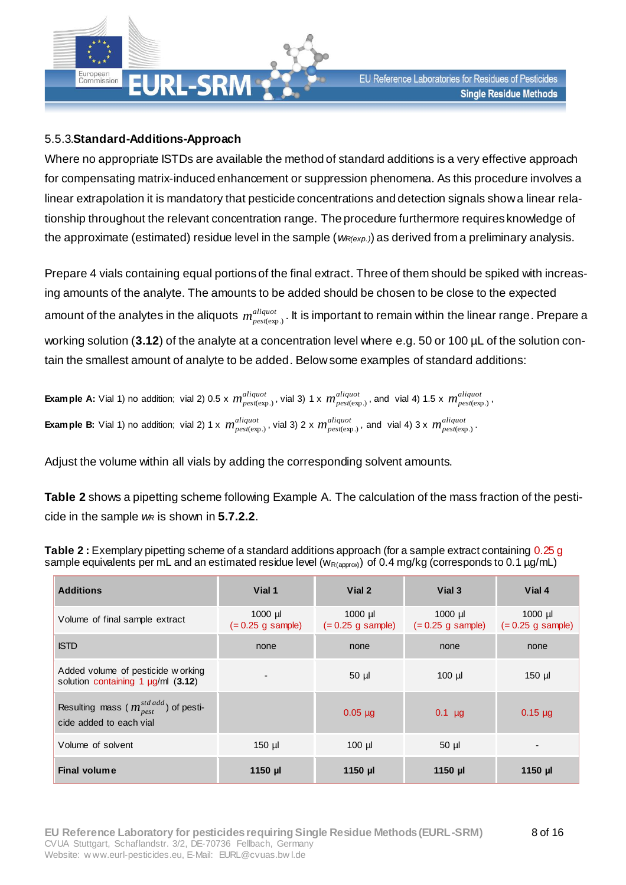

#### <span id="page-7-0"></span>5.5.3.**Standard-Additions-Approach**

Where no appropriate ISTDs are available the method of standard additions is a very effective approach for compensating matrix-induced enhancement or suppression phenomena. As this procedure involves a linear extrapolation it is mandatory that pesticide concentrations and detection signals show a linear relationship throughout the relevant concentration range. The procedure furthermore requires knowledge of the approximate (estimated) residue level in the sample ( $w_{R(exp.)}$ ) as derived from a preliminary analysis.

Prepare 4 vials containing equal portions of the final extract. Three of them should be spiked with increasing amounts of the analyte. The amounts to be added should be chosen to be close to the expected amount of the analytes in the aliquots  $\,m_{pest(exp.)}^{align}$  . It is important to remain within the linear range. Prepare a working solution (**[3.12](#page-3-3)**) of the analyte at a concentration level where e.g. 50 or 100 µL of the solution contain the smallest amount of analyte to be added. Below some examples of standard additions:

Example A: Vial 1) no addition; vial 2) 0.5 x  $m^{aligned}_{pest(exp.)}$ , vial 3) 1 x  $m^{aligned}_{pest(exp.)}$ , and vial 4) 1.5 x  $m^{aligned}_{pest(exp.)}$ ,  $\bf{Example~B:}$  Vial 1) no addition; vial 2) 1 x  $\,m^{aliquot}_{pest(exp.)}$ , vial 3) 2 x  $\,m^{aliquot}_{pest(exp.)}$ , and vial 4) 3 x  $\,m^{aliquot}_{pest(exp.)}$ .

Adjust the volume within all vials by adding the corresponding solvent amounts.

**[Table 2](#page-7-1)** shows a pipetting scheme following Example A. The calculation of the mass fraction of the pesticide in the sample *w<sup>R</sup>* is shown in **[5.7.2.2](#page-12-0)**.

| <b>Additions</b>                                                                     | Vial 1                           | Vial 2    | Vial 3                                                               | Vial 4                           |
|--------------------------------------------------------------------------------------|----------------------------------|-----------|----------------------------------------------------------------------|----------------------------------|
| Volume of final sample extract                                                       | $1000$ µl<br>$(= 0.25$ g sample) | $1000$ µl | $1000$ µl<br>$(= 0.25 \text{ g sample})$ $(= 0.25 \text{ g sample})$ | $1000$ µl<br>$(= 0.25$ g sample) |
| <b>ISTD</b>                                                                          | none                             | none      | none                                                                 | none                             |
| Added volume of pesticide w orking<br>solution containing 1 $\mu$ g/ml (3.12)        | $\overline{\phantom{0}}$         | $50 \mu$  | $100$ $\mu$                                                          | $150$ µl                         |
| Resulting mass ( $m_{pest}^{std \text{ add}}$ ) of pesti-<br>cide added to each vial |                                  | $0.05$ µg | $0.1$ µg                                                             | $0.15 \mu$ g                     |
| Volume of solvent                                                                    | $150$ µl                         | $100$ µl  | $50 \mu$                                                             |                                  |
| <b>Final volume</b>                                                                  | 1150 µl                          | $1150$ µ  | $1150$ µ                                                             | 1150 µl                          |

<span id="page-7-1"></span>**Table 2 :** Exemplary pipetting scheme of a standard additions approach (for a sample extract containing 0.25 g sample equivalents per mL and an estimated residue level ( $w_{R(approw)}$ ) of 0.4 mg/kg (corresponds to 0.1 µg/mL)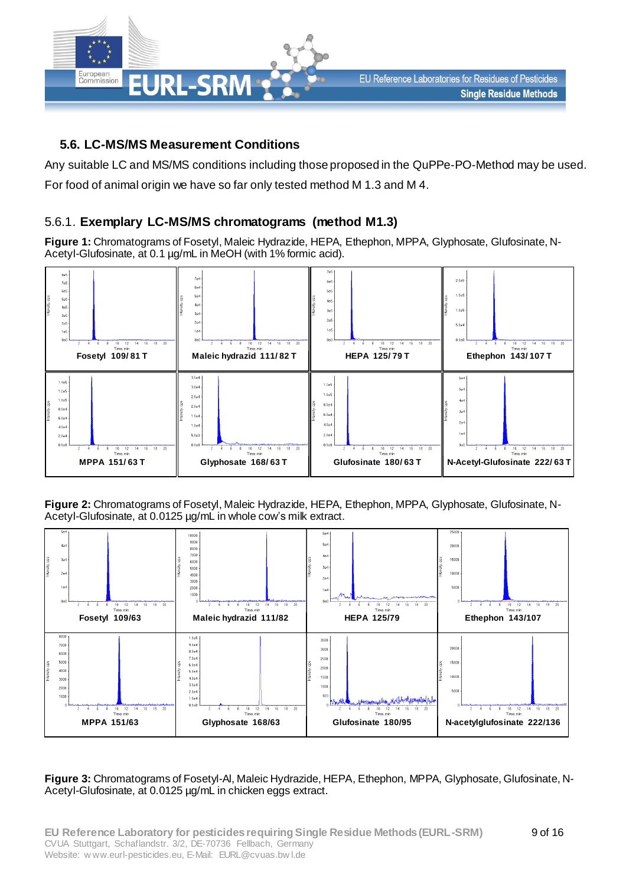

## **5.6. LC-MS/MS Measurement Conditions**

Any suitable LC and MS/MS conditions including those proposed in the QuPPe-PO-Method may be used. For food of animal origin we have so far only tested method M 1.3 and M 4.

## 5.6.1. **Exemplary LC-MS/MS chromatograms (method M1.3)**

**Figure 1:** Chromatograms of Fosetyl, Maleic Hydrazide, HEPA, Ethephon, MPPA, Glyphosate, Glufosinate, N-Acetyl-Glufosinate, at 0.1 µg/mL in MeOH (with 1% formic acid).



**Figure 2:** Chromatograms of Fosetyl, Maleic Hydrazide, HEPA, Ethephon, MPPA, Glyphosate, Glufosinate, N-Acetyl-Glufosinate, at 0.0125 µg/mL in whole cow's milk extract.



**Figure 3:** Chromatograms of Fosetyl-Al, Maleic Hydrazide, HEPA, Ethephon, MPPA, Glyphosate, Glufosinate, N-Acetyl-Glufosinate, at 0.0125 µg/mL in chicken eggs extract.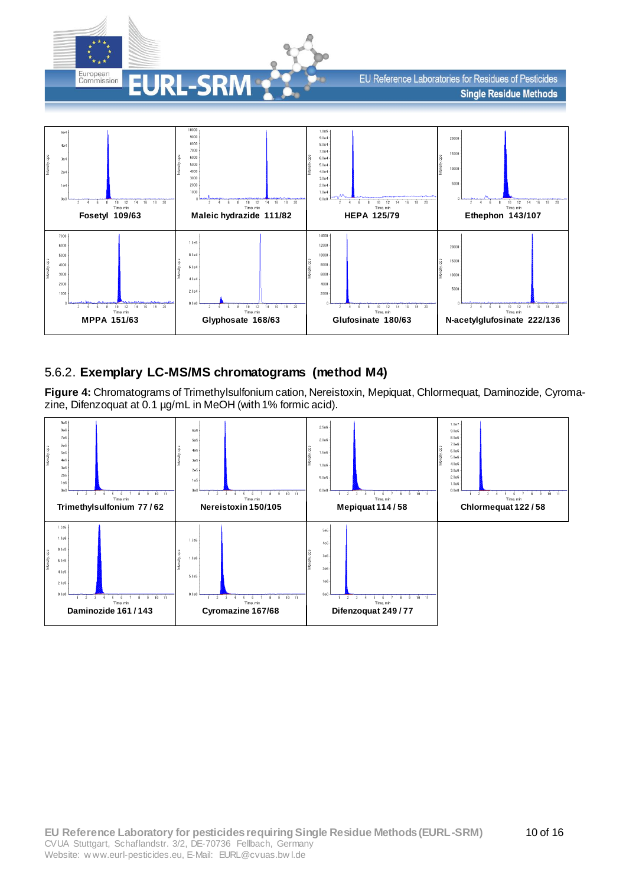

EU Reference Laboratories for Residues of Pesticides **Single Residue Methods** 



## 5.6.2. **Exemplary LC-MS/MS chromatograms (method M4)**

**Figure 4:** Chromatograms of Trimethylsulfonium cation, Nereistoxin, Mepiquat, Chlormequat, Daminozide, Cyromazine, Difenzoquat at 0.1 µg/mL in MeOH (with 1% formic acid).

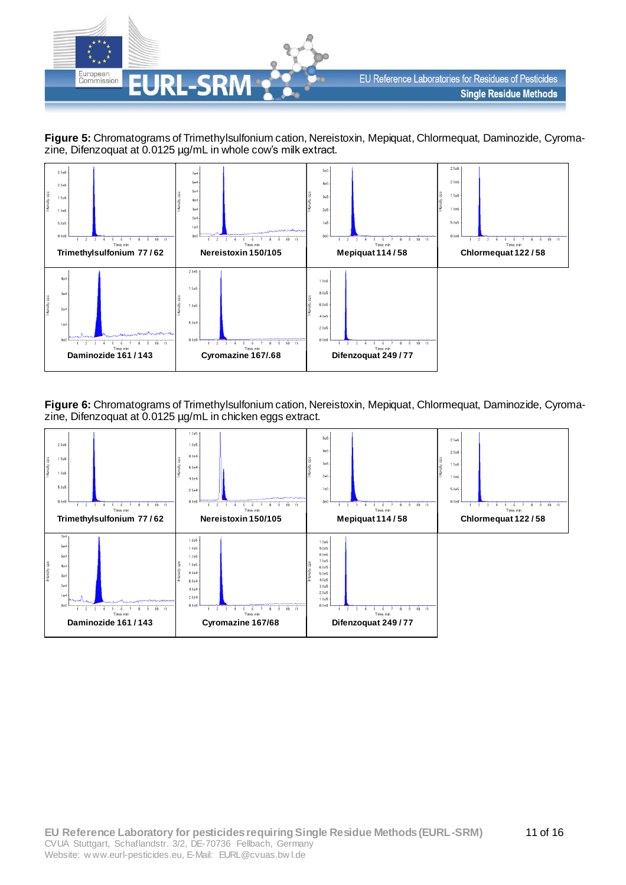





**Figure 6:** Chromatograms of Trimethylsulfonium cation, Nereistoxin, Mepiquat, Chlormequat, Daminozide, Cyromazine, Difenzoquat at 0.0125 µg/mL in chicken eggs extract.

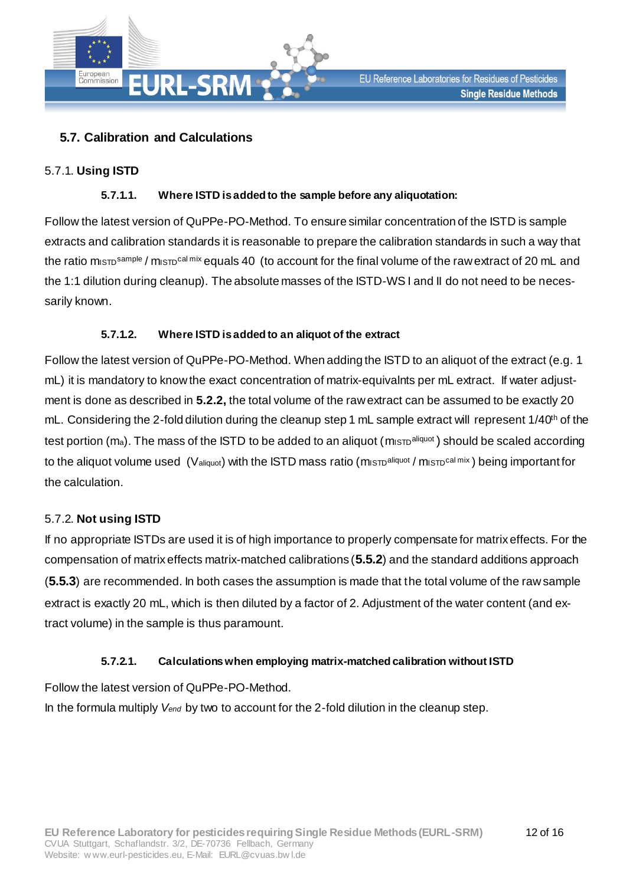

## <span id="page-11-0"></span>**5.7. Calibration and Calculations**

#### 5.7.1. **Using ISTD**

#### **5.7.1.1. Where ISTD is added to the sample before any aliquotation:**

Follow the latest version of QuPPe-PO-Method. To ensure similar concentration of the ISTD is sample extracts and calibration standards it is reasonable to prepare the calibration standards in such a way that the ratio misto<sup>sample</sup> / mistocal mix equals 40 (to account for the final volume of the raw extract of 20 mL and the 1:1 dilution during cleanup). The absolute masses of the ISTD-WS I and II do not need to be necessarily known.

#### **5.7.1.2. Where ISTD is added to an aliquot of the extract**

Follow the latest version of QuPPe-PO-Method. When adding the ISTD to an aliquot of the extract (e.g. 1 mL) it is mandatory to know the exact concentration of matrix-equivalnts per mL extract. If water adjustment is done as described in **[5.2.2](#page-4-6),** the total volume of the raw extract can be assumed to be exactly 20 mL. Considering the 2-fold dilution during the cleanup step 1 mL sample extract will represent 1/40<sup>th</sup> of the test portion (m<sub>a</sub>). The mass of the ISTD to be added to an aliquot (m<sub>ISTD</sub>aliquot) should be scaled according to the aliquot volume used (Valiquot) with the ISTD mass ratio (mistolaliquot / misto<sup>cal mix</sup>) being important for the calculation.

#### 5.7.2. **Not using ISTD**

If no appropriate ISTDs are used it is of high importance to properly compensate for matrix effects. For the compensation of matrix effects matrix-matched calibrations (**[5.5.2](#page-5-2)**) and the standard additions approach (**[5.5.3](#page-7-0)**) are recommended. In both cases the assumption is made that the total volume of the raw sample extract is exactly 20 mL, which is then diluted by a factor of 2. Adjustment of the water content (and extract volume) in the sample is thus paramount.

#### **5.7.2.1. Calculations when employing matrix-matched calibration without ISTD**

<span id="page-11-1"></span>Follow the latest version of QuPPe-PO-Method.

In the formula multiply *Vend* by two to account for the 2-fold dilution in the cleanup step.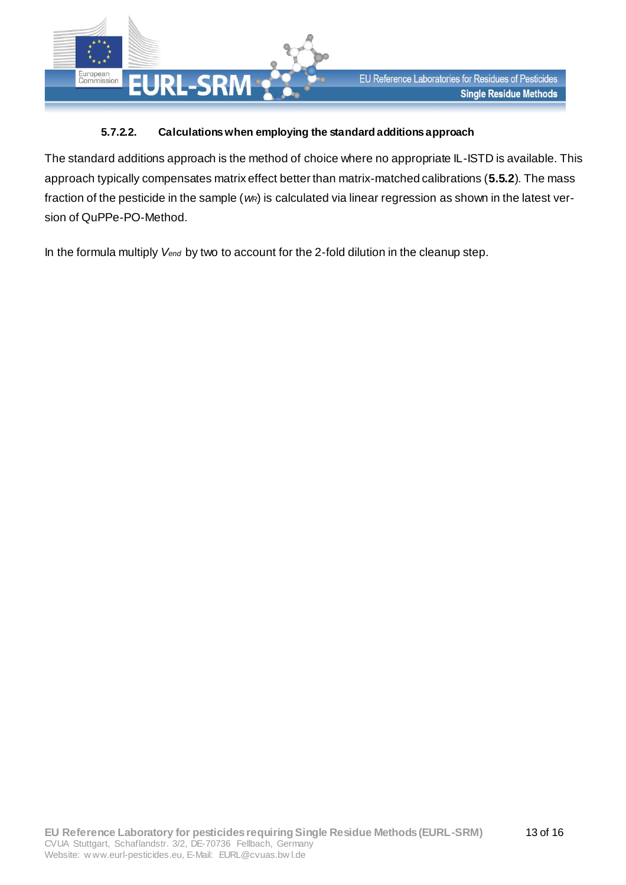

#### **5.7.2.2. Calculations when employing the standard additions approach**

<span id="page-12-0"></span>The standard additions approach is the method of choice where no appropriate IL-ISTD is available. This approach typically compensates matrix effect better than matrix-matched calibrations (**[5.5.2](#page-5-2)**). The mass fraction of the pesticide in the sample (*wR*) is calculated via linear regression as shown in the latest version of QuPPe-PO-Method.

In the formula multiply *Vend* by two to account for the 2-fold dilution in the cleanup step.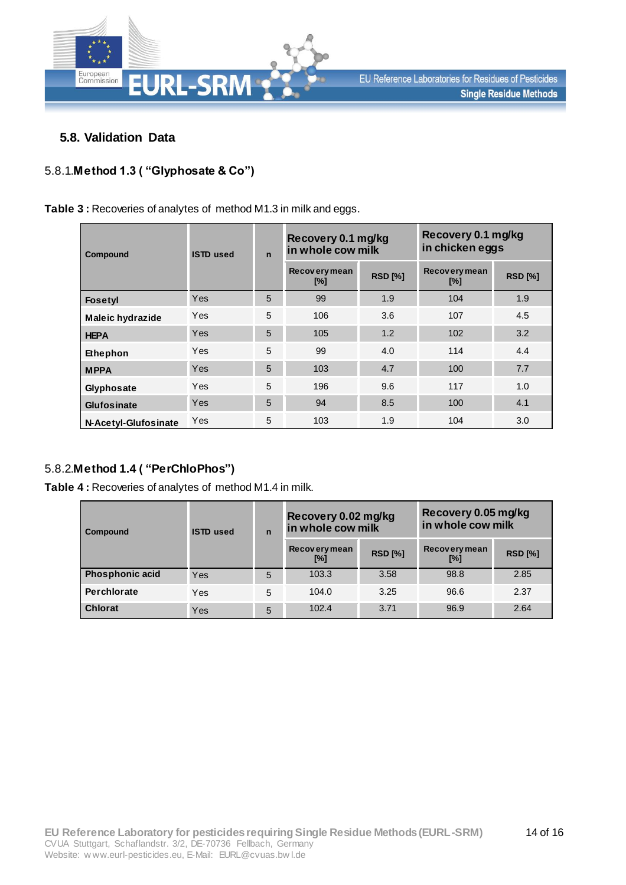

#### **5.8. Validation Data**

## 5.8.1.**Method 1.3 ( "Glyphosate & Co")**

**Table 3 :** Recoveries of analytes of method M1.3 in milk and eggs.

| Compound                | <b>ISTD</b> used | $\mathbf n$ | Recovery 0.1 mg/kg<br>in whole cow milk |                | Recovery 0.1 mg/kg<br>in chicken eggs |                |  |
|-------------------------|------------------|-------------|-----------------------------------------|----------------|---------------------------------------|----------------|--|
|                         |                  |             | Recovery mean<br>$[\%]$                 | <b>RSD [%]</b> | Recovery mean<br>$[\%]$               | <b>RSD [%]</b> |  |
| <b>Fosetyl</b>          | Yes              | 5           | 99                                      | 1.9            | 104                                   | 1.9            |  |
| <b>Maleic hydrazide</b> | Yes              | 5           | 106                                     | 3.6            | 107                                   | 4.5            |  |
| <b>HEPA</b>             | Yes              | 5           | 105                                     | 1.2            | 102                                   | 3.2            |  |
| Ethephon                | Yes              | 5           | 99                                      | 4.0            | 114                                   | 4.4            |  |
| <b>MPPA</b>             | Yes              | 5           | 103                                     | 4.7            | 100                                   | 7.7            |  |
| Glyphosate              | Yes              | 5           | 196                                     | 9.6            | 117                                   | 1.0            |  |
| Glufosinate             | Yes              | 5           | 94                                      | 8.5            | 100                                   | 4.1            |  |
| N-Acetyl-Glufosinate    | Yes              | 5           | 103                                     | 1.9            | 104                                   | 3.0            |  |

#### 5.8.2.**Method 1.4 ( "PerChloPhos")**

**Table 4 :** Recoveries of analytes of method M1.4 in milk.

| Compound               | ISTD used | $\mathbf n$ | Recovery 0.02 mg/kg<br>in whole cow milk |                | Recovery 0.05 mg/kg<br>in whole cow milk |                |  |
|------------------------|-----------|-------------|------------------------------------------|----------------|------------------------------------------|----------------|--|
|                        |           |             | Recovery mean<br>[%]                     | <b>RSD [%]</b> | <b>Recovery mean</b><br>[%]              | <b>RSD [%]</b> |  |
| <b>Phosphonic acid</b> | Yes       | 5           | 103.3                                    | 3.58           | 98.8                                     | 2.85           |  |
| Perchlorate            | Yes       | 5           | 104.0                                    | 3.25           | 96.6                                     | 2.37           |  |
| <b>Chlorat</b>         | Yes       | 5           | 102.4                                    | 3.71           | 96.9                                     | 2.64           |  |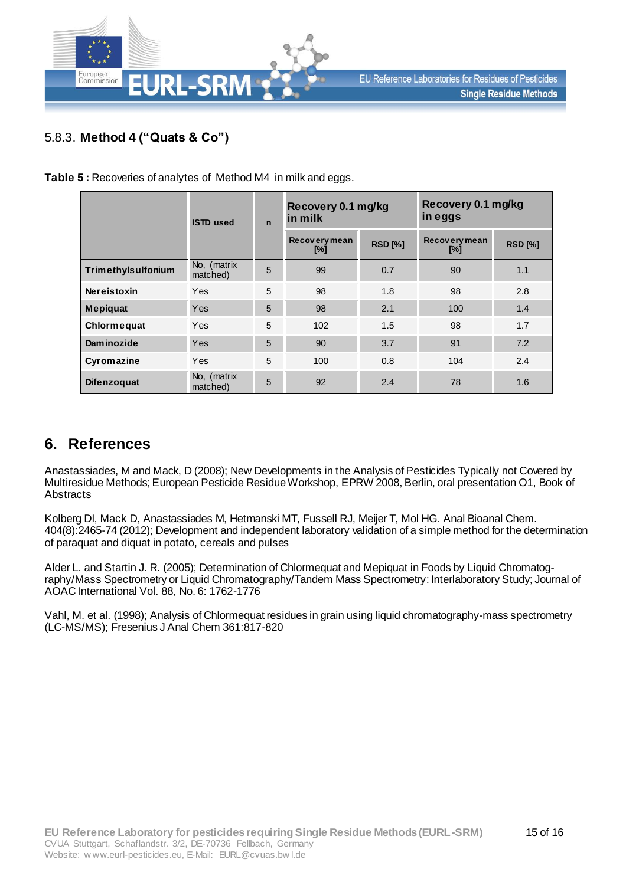

## 5.8.3. **Method 4 ("Quats & Co")**

**Table 5 :** Recoveries of analytes of Method M4 in milk and eggs.

|                    | <b>ISTD</b> used        | $\mathbf n$ | Recovery 0.1 mg/kg<br>in milk |                | Recovery 0.1 mg/kg<br>in eggs |                |  |
|--------------------|-------------------------|-------------|-------------------------------|----------------|-------------------------------|----------------|--|
|                    |                         |             | Recovery mean<br>$[\%]$       | <b>RSD [%]</b> | Recovery mean<br>$[\%]$       | <b>RSD [%]</b> |  |
| Trimethylsulfonium | No, (matrix<br>matched) | 5           | 99                            | 0.7            | 90                            | 1.1            |  |
| <b>Nereistoxin</b> | Yes                     | 5           | 98                            | 1.8            | 98                            | 2.8            |  |
| <b>Mepiquat</b>    | Yes                     | 5           | 98                            | 2.1            | 100                           | 1.4            |  |
| Chlormeguat        | Yes                     | 5           | 102                           | 1.5            | 98                            | 1.7            |  |
| Dam inozide        | Yes                     | 5           | 90                            | 3.7            | 91                            | 7.2            |  |
| Cyromazine         | Yes                     | 5           | 100                           | 0.8            | 104                           | 2.4            |  |
| <b>Difenzoquat</b> | No, (matrix<br>matched) | 5           | 92                            | 2.4            | 78                            | 1.6            |  |

# **6. References**

Anastassiades, M and Mack, D (2008); New Developments in the Analysis of Pesticides Typically not Covered by Multiresidue Methods; European Pesticide Residue Workshop, EPRW 2008, Berlin, oral presentation O1, Book of Abstracts

Kolberg DI, Mack D, Anastassiades M, Hetmanski MT, Fussell RJ, Meijer T, Mol HG. Anal Bioanal Chem. 404(8):2465-74 (2012); Development and independent laboratory validation of a simple method for the determination of paraquat and diquat in potato, cereals and pulses

Alder L. and Startin J. R. (2005); Determination of Chlormequat and Mepiquat in Foods by Liquid Chromatography/Mass Spectrometry or Liquid Chromatography/Tandem Mass Spectrometry: Interlaboratory Study; Journal of AOAC International Vol. 88, No. 6: 1762-1776

Vahl, M. et al. (1998); Analysis of Chlormequat residues in grain using liquid chromatography-mass spectrometry (LC-MS/MS); Fresenius J Anal Chem 361:817-820